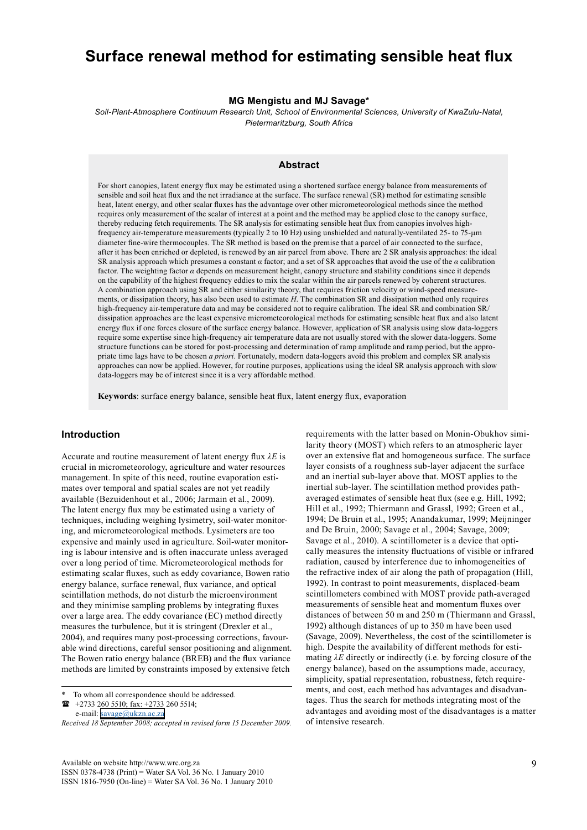# **Surface renewal method for estimating sensible heat flux**

### **MG Mengistu and MJ Savage\***

*Soil-Plant-Atmosphere Continuum Research Unit, School of Environmental Sciences, University of KwaZulu-Natal, Pietermaritzburg, South Africa*

# **Abstract**

For short canopies, latent energy flux may be estimated using a shortened surface energy balance from measurements of sensible and soil heat flux and the net irradiance at the surface. The surface renewal (SR) method for estimating sensible heat, latent energy, and other scalar fluxes has the advantage over other micrometeorological methods since the method requires only measurement of the scalar of interest at a point and the method may be applied close to the canopy surface, thereby reducing fetch requirements. The SR analysis for estimating sensible heat flux from canopies involves highfrequency air-temperature measurements (typically 2 to 10 Hz) using unshielded and naturally-ventilated 25- to 75-mm diameter fine-wire thermocouples. The SR method is based on the premise that a parcel of air connected to the surface, after it has been enriched or depleted, is renewed by an air parcel from above. There are 2 SR analysis approaches: the ideal SR analysis approach which presumes a constant *α* factor; and a set of SR approaches that avoid the use of the *α* calibration factor. The weighting factor  $\alpha$  depends on measurement height, canopy structure and stability conditions since it depends on the capability of the highest frequency eddies to mix the scalar within the air parcels renewed by coherent structures. A combination approach using SR and either similarity theory, that requires friction velocity or wind-speed measurements, or dissipation theory, has also been used to estimate *H*. The combination SR and dissipation method only requires high-frequency air-temperature data and may be considered not to require calibration. The ideal SR and combination SR/ dissipation approaches are the least expensive micrometeorological methods for estimating sensible heat flux and also latent energy flux if one forces closure of the surface energy balance. However, application of SR analysis using slow data-loggers require some expertise since high-frequency air temperature data are not usually stored with the slower data-loggers. Some structure functions can be stored for post-processing and determination of ramp amplitude and ramp period, but the appropriate time lags have to be chosen *a priori*. Fortunately, modern data-loggers avoid this problem and complex SR analysis approaches can now be applied. However, for routine purposes, applications using the ideal SR analysis approach with slow data-loggers may be of interest since it is a very affordable method.

**Keywords**: surface energy balance, sensible heat flux, latent energy flux, evaporation

# **Introduction**

Accurate and routine measurement of latent energy flux *λE* is crucial in micrometeorology, agriculture and water resources management. In spite of this need, routine evaporation estimates over temporal and spatial scales are not yet readily available (Bezuidenhout et al., 2006; Jarmain et al., 2009). The latent energy flux may be estimated using a variety of techniques, including weighing lysimetry, soil-water monitoring, and micrometeorological methods. Lysimeters are too expensive and mainly used in agriculture. Soil-water monitoring is labour intensive and is often inaccurate unless averaged over a long period of time. Micrometeorological methods for estimating scalar fluxes, such as eddy covariance, Bowen ratio energy balance, surface renewal, flux variance, and optical scintillation methods, do not disturb the microenvironment and they minimise sampling problems by integrating fluxes over a large area. The eddy covariance (EC) method directly measures the turbulence, but it is stringent (Drexler et al., 2004), and requires many post-processing corrections, favourable wind directions, careful sensor positioning and alignment. The Bowen ratio energy balance (BREB) and the flux variance methods are limited by constraints imposed by extensive fetch

 +2733 260 5510; fax: +2733 260 5514; e-mail: [savage@ukzn.ac.za](mailto:savage@ukzn.ac.za)

*Received 18 September 2008; accepted in revised form 15 December 2009.*

requirements with the latter based on Monin-Obukhov similarity theory (MOST) which refers to an atmospheric layer over an extensive flat and homogeneous surface. The surface layer consists of a roughness sub-layer adjacent the surface and an inertial sub-layer above that. MOST applies to the inertial sub-layer. The scintillation method provides pathaveraged estimates of sensible heat flux (see e.g. Hill, 1992; Hill et al., 1992; Thiermann and Grassl, 1992; Green et al., 1994; De Bruin et al., 1995; Anandakumar, 1999; Meijninger and De Bruin, 2000; Savage et al., 2004; Savage, 2009; Savage et al., 2010). A scintillometer is a device that optically measures the intensity fluctuations of visible or infrared radiation, caused by interference due to inhomogeneities of the refractive index of air along the path of propagation (Hill, 1992). In contrast to point measurements, displaced-beam scintillometers combined with MOST provide path-averaged measurements of sensible heat and momentum fluxes over distances of between 50 m and 250 m (Thiermann and Grassl, 1992) although distances of up to 350 m have been used (Savage, 2009). Nevertheless, the cost of the scintillometer is high. Despite the availability of different methods for estimating *λE* directly or indirectly (i.e. by forcing closure of the energy balance), based on the assumptions made, accuracy, simplicity, spatial representation, robustness, fetch requirements, and cost, each method has advantages and disadvantages. Thus the search for methods integrating most of the advantages and avoiding most of the disadvantages is a matter of intensive research.

To whom all correspondence should be addressed.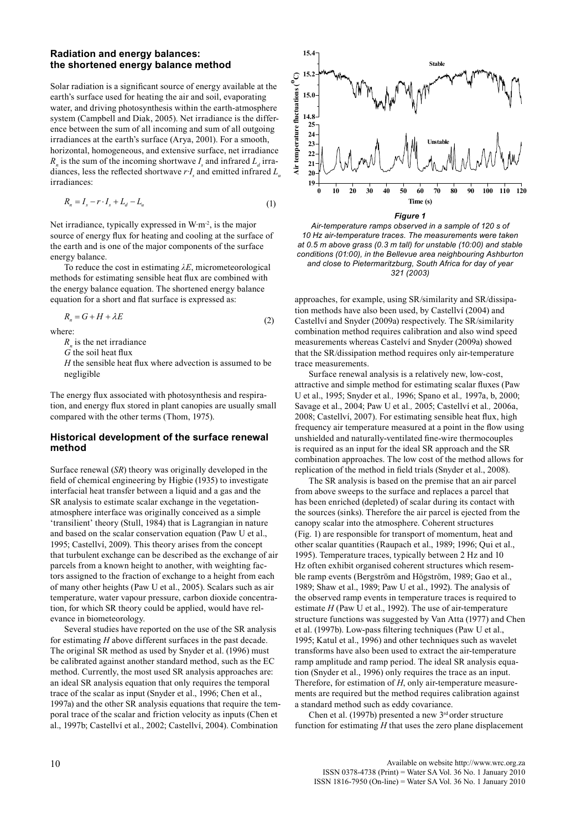# **Radiation and energy balances: the shortened energy balance method**

Solar radiation is a significant source of energy available at the earth's surface used for heating the air and soil, evaporating water, and driving photosynthesis within the earth-atmosphere system (Campbell and Diak, 2005). Net irradiance is the difference between the sum of all incoming and sum of all outgoing irradiances at the earth's surface (Arya, 2001). For a smooth, horizontal, homogeneous, and extensive surface, net irradiance  $R_n$  is the sum of the incoming shortwave  $I_s$  and infrared  $L_d$  irradiances, less the reflected shortwave  $rI_s$  and emitted infrared  $L_u$ irradiances:

$$
R_n = I_s - r \cdot I_s + L_d - L_u \tag{1}
$$

Net irradiance, typically expressed in W⋅m<sup>-2</sup>, is the major source of energy flux for heating and cooling at the surface of the earth and is one of the major components of the surface energy balance.

To reduce the cost in estimating *λE*, micrometeorological methods for estimating sensible heat flux are combined with the energy balance equation. The shortened energy balance equation for a short and flat surface is expressed as:

$$
R_n = G + H + \lambda E \tag{2}
$$

where:

 $R<sub>n</sub>$  is the net irradiance

*G* the soil heat flux

*H* the sensible heat flux where advection is assumed to be negligible

The energy flux associated with photosynthesis and respiration, and energy flux stored in plant canopies are usually small compared with the other terms (Thom, 1975).

# **Historical development of the surface renewal method**

Surface renewal (*SR*) theory was originally developed in the field of chemical engineering by Higbie (1935) to investigate interfacial heat transfer between a liquid and a gas and the SR analysis to estimate scalar exchange in the vegetationatmosphere interface was originally conceived as a simple 'transilient' theory (Stull, 1984) that is Lagrangian in nature and based on the scalar conservation equation (Paw U et al., 1995; Castellví, 2009). This theory arises from the concept that turbulent exchange can be described as the exchange of air parcels from a known height to another, with weighting factors assigned to the fraction of exchange to a height from each of many other heights (Paw U et al., 2005). Scalars such as air temperature, water vapour pressure, carbon dioxide concentration, for which SR theory could be applied, would have relevance in biometeorology.

Several studies have reported on the use of the SR analysis for estimating *H* above different surfaces in the past decade. The original SR method as used by Snyder et al. (1996) must be calibrated against another standard method, such as the EC method. Currently, the most used SR analysis approaches are: an ideal SR analysis equation that only requires the temporal trace of the scalar as input (Snyder et al., 1996; Chen et al., 1997a) and the other SR analysis equations that require the temporal trace of the scalar and friction velocity as inputs (Chen et al., 1997b; Castellví et al., 2002; Castellví, 2004). Combination



*Figure 1*

*Air-temperature ramps observed in a sample of 120 s of 10 Hz air-temperature traces. The measurements were taken at 0.5 m above grass (0.3 m tall) for unstable (10:00) and stable conditions (01:00), in the Bellevue area neighbouring Ashburton and close to Pietermaritzburg, South Africa for day of year 321 (2003)*

approaches, for example, using SR/similarity and SR/dissipation methods have also been used, by Castellví (2004) and Castellví and Snyder (2009a) respectively. The SR/similarity combination method requires calibration and also wind speed measurements whereas Castelví and Snyder (2009a) showed that the SR/dissipation method requires only air-temperature trace measurements.

Surface renewal analysis is a relatively new, low-cost, attractive and simple method for estimating scalar fluxes (Paw U et al., 1995; Snyder et al*.,* 1996; Spano et al*.,* 1997a, b, 2000; Savage et al., 2004; Paw U et al*.,* 2005; Castellví et al*.,* 2006a, 2008; Castellví, 2007). For estimating sensible heat flux, high frequency air temperature measured at a point in the flow using unshielded and naturally-ventilated fine-wire thermocouples is required as an input for the ideal SR approach and the SR combination approaches. The low cost of the method allows for replication of the method in field trials (Snyder et al., 2008).

The SR analysis is based on the premise that an air parcel from above sweeps to the surface and replaces a parcel that has been enriched (depleted) of scalar during its contact with the sources (sinks). Therefore the air parcel is ejected from the canopy scalar into the atmosphere. Coherent structures (Fig. 1) are responsible for transport of momentum, heat and other scalar quantities (Raupach et al., 1989; 1996; Qui et al., 1995). Temperature traces, typically between 2 Hz and 10 Hz often exhibit organised coherent structures which resemble ramp events (Bergström and Högström, 1989; Gao et al., 1989; Shaw et al., 1989; Paw U et al., 1992). The analysis of the observed ramp events in temperature traces is required to estimate *H* (Paw U et al., 1992). The use of air-temperature structure functions was suggested by Van Atta (1977) and Chen et al. (1997b). Low-pass filtering techniques (Paw U et al., 1995; Katul et al., 1996) and other techniques such as wavelet transforms have also been used to extract the air-temperature ramp amplitude and ramp period. The ideal SR analysis equation (Snyder et al., 1996) only requires the trace as an input. Therefore, for estimation of *H*, only air-temperature measurements are required but the method requires calibration against a standard method such as eddy covariance.

Chen et al. (1997b) presented a new 3rd order structure function for estimating *H* that uses the zero plane displacement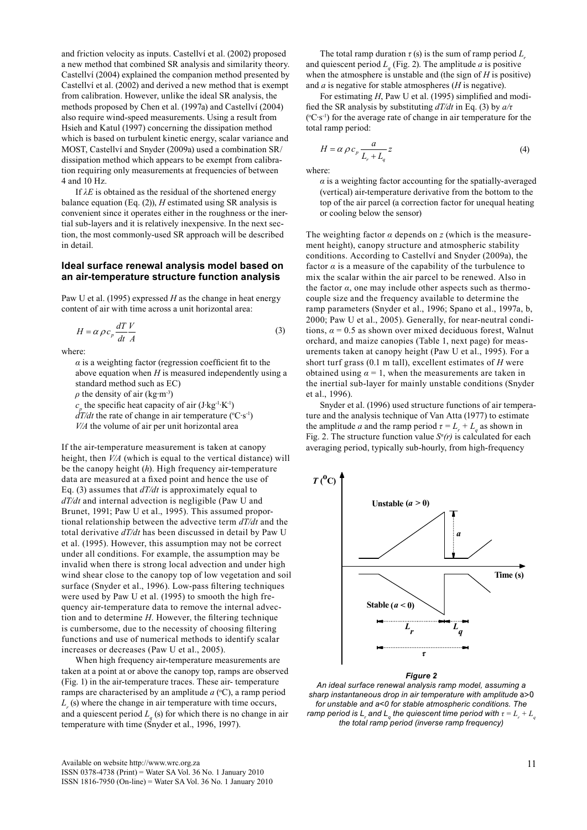and friction velocity as inputs. Castellví et al. (2002) proposed a new method that combined SR analysis and similarity theory. Castellví (2004) explained the companion method presented by Castellví et al. (2002) and derived a new method that is exempt from calibration. However, unlike the ideal SR analysis, the methods proposed by Chen et al. (1997a) and Castellví (2004) also require wind-speed measurements. Using a result from Hsieh and Katul (1997) concerning the dissipation method which is based on turbulent kinetic energy, scalar variance and MOST, Castellví and Snyder (2009a) used a combination SR/ dissipation method which appears to be exempt from calibration requiring only measurements at frequencies of between 4 and 10 Hz.

If *λE* is obtained as the residual of the shortened energy balance equation (Eq. (2)), *H* estimated using SR analysis is convenient since it operates either in the roughness or the inertial sub-layers and it is relatively inexpensive. In the next section, the most commonly-used SR approach will be described in detail.

# **Ideal surface renewal analysis model based on an air-temperature structure function analysis**

Paw U et al. (1995) expressed *H* as the change in heat energy content of air with time across a unit horizontal area:

$$
H = \alpha \rho c_p \frac{dT V}{dt A}
$$
 (3)

where:

 $\alpha$  is a weighting factor (regression coefficient fit to the above equation when *H* is measured independently using a standard method such as EC)

 $\rho$  the density of air (kg⋅m<sup>-3</sup>)

 $c_p$  the specific heat capacity of air (J⋅kg<sup>-1</sup>⋅K<sup>-1</sup>)

*dT/dt* the rate of change in air temperature (°C⋅s<sup>-1</sup>) *V/A* the volume of air per unit horizontal area

If the air-temperature measurement is taken at canopy height, then *V/A* (which is equal to the vertical distance) will be the canopy height (*h*). High frequency air-temperature data are measured at a fixed point and hence the use of Eq. (3) assumes that *dT/dt* is approximately equal to *dT/dt* and internal advection is negligible (Paw U and Brunet, 1991; Paw U et al., 1995). This assumed proportional relationship between the advective term *dT/dt* and the total derivative *dT/dt* has been discussed in detail by Paw U et al. (1995). However, this assumption may not be correct under all conditions. For example, the assumption may be invalid when there is strong local advection and under high wind shear close to the canopy top of low vegetation and soil surface (Snyder et al., 1996). Low-pass filtering techniques were used by Paw U et al. (1995) to smooth the high frequency air-temperature data to remove the internal advection and to determine *H*. However, the filtering technique is cumbersome, due to the necessity of choosing filtering functions and use of numerical methods to identify scalar increases or decreases (Paw U et al., 2005).

When high frequency air-temperature measurements are taken at a point at or above the canopy top, ramps are observed (Fig. 1) in the air-temperature traces. These air- temperature ramps are characterised by an amplitude  $a$  ( $\rm{°C}$ ), a ramp period  $L_r$  (s) where the change in air temperature with time occurs, and a quiescent period  $L_q$  (s) for which there is no change in air temperature with time (Snyder et al., 1996, 1997).

The total ramp duration  $\tau$  (s) is the sum of ramp period  $L$ and quiescent period  $L_q$  (Fig. 2). The amplitude *a* is positive when the atmosphere is unstable and (the sign of *H* is positive) and *a* is negative for stable atmospheres (*H* is negative).

For estimating *H*, Paw U et al. (1995) simplified and modified the SR analysis by substituting *dT/dt* in Eq. (3) by *a/τ* (<sup>o</sup>C⋅s<sup>-1</sup>) for the average rate of change in air temperature for the total ramp period:

$$
H = \alpha \rho c_p \frac{a}{L_r + L_q} z \tag{4}
$$

where:

 $\alpha$  is a weighting factor accounting for the spatially-averaged (vertical) air-temperature derivative from the bottom to the top of the air parcel (a correction factor for unequal heating or cooling below the sensor)

The weighting factor  $\alpha$  depends on  $\alpha$  (which is the measurement height), canopy structure and atmospheric stability conditions. According to Castellví and Snyder (2009a), the factor  $\alpha$  is a measure of the capability of the turbulence to mix the scalar within the air parcel to be renewed. Also in the factor  $\alpha$ , one may include other aspects such as thermocouple size and the frequency available to determine the ramp parameters (Snyder et al., 1996; Spano et al., 1997a, b, 2000; Paw U et al., 2005). Generally, for near-neutral conditions,  $\alpha$  = 0.5 as shown over mixed deciduous forest, Walnut orchard, and maize canopies (Table 1, next page) for measurements taken at canopy height (Paw U et al., 1995). For a short turf grass (0.1 m tall), excellent estimates of *H* were obtained using  $\alpha = 1$ , when the measurements are taken in the inertial sub-layer for mainly unstable conditions (Snyder et al., 1996).

Snyder et al. (1996) used structure functions of air temperature and the analysis technique of Van Atta (1977) to estimate the amplitude *a* and the ramp period  $\tau = L_r + L_q$  as shown in Fig. 2. The structure function value  $S<sup>n</sup>(r)$  is calculated for each averaging period, typically sub-hourly, from high-frequency





*An ideal surface renewal analysis ramp model, assuming a sharp instantaneous drop in air temperature with amplitude* a>0 *for unstable and a<0 for stable atmospheric conditions. The ramp period is L<sub>r</sub> and L<sub>q</sub> the quiescent time period with*  $\tau$  *= L<sub>r</sub> + L<sub>q</sub> the total ramp period (inverse ramp frequency)*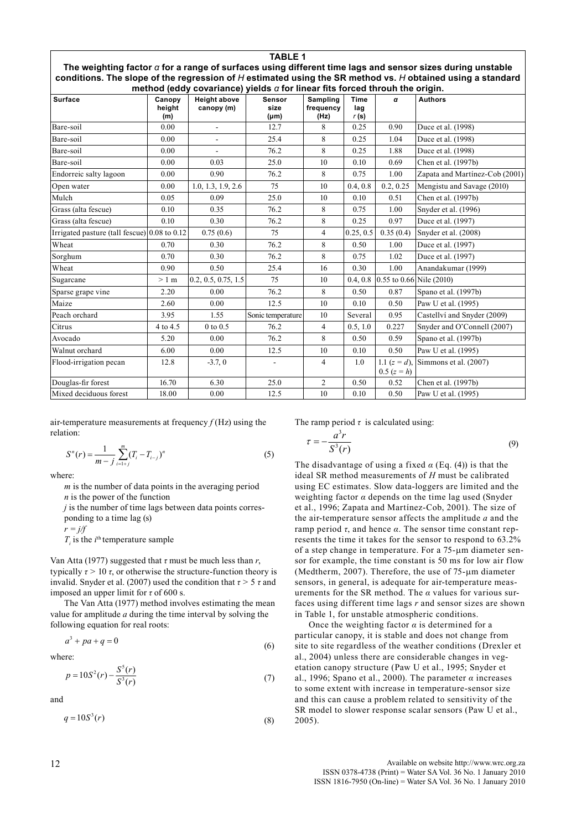**TABLE 1 The weighting factor** *α* **for a range of surfaces using different time lags and sensor sizes during unstable conditions. The slope of the regression of** *H* **estimated using the SR method vs.** *H* **obtained using a standard method (eddy covariance) yields** *α* **for linear fits forced throuh the origin.**

| <b>Surface</b>                                            | Canopy        | <b>Height above</b> | <b>Sensor</b>     | Sampling          | <b>Time</b> | α                                         | <b>Authors</b>                 |
|-----------------------------------------------------------|---------------|---------------------|-------------------|-------------------|-------------|-------------------------------------------|--------------------------------|
|                                                           | height<br>(m) | canopy (m)          | size<br>$(\mu m)$ | frequency<br>(Hz) | lag<br>r(s) |                                           |                                |
| Bare-soil                                                 | 0.00          | ÷,                  | 12.7              | 8                 | 0.25        | 0.90                                      | Duce et al. (1998)             |
| Bare-soil                                                 | 0.00          | $\frac{1}{2}$       | 25.4              | 8                 | 0.25        | 1.04                                      | Duce et al. (1998)             |
| Bare-soil                                                 | 0.00          | $\frac{1}{2}$       | 76.2              | 8                 | 0.25        | 1.88                                      | Duce et al. (1998)             |
| Bare-soil                                                 | 0.00          | 0.03                | 25.0              | 10                | 0.10        | 0.69                                      | Chen et al. (1997b)            |
| Endorreic salty lagoon                                    | 0.00          | 0.90                | 76.2              | 8                 | 0.75        | 1.00                                      | Zapata and Martínez-Cob (2001) |
| Open water                                                | 0.00          | 1.0, 1.3, 1.9, 2.6  | 75                | 10                | 0.4, 0.8    | 0.2, 0.25                                 | Mengistu and Savage (2010)     |
| Mulch                                                     | 0.05          | 0.09                | 25.0              | 10                | 0.10        | 0.51                                      | Chen et al. (1997b)            |
| Grass (alta fescue)                                       | 0.10          | 0.35                | 76.2              | 8                 | 0.75        | 1.00                                      | Snyder et al. (1996)           |
| Grass (alta fescue)                                       | 0.10          | 0.30                | 76.2              | 8                 | 0.25        | 0.97                                      | Duce et al. (1997)             |
| Irrigated pasture (tall fescue) $ 0.08 \text{ to } 0.12 $ |               | 0.75(0.6)           | 75                | $\overline{4}$    | 0.25, 0.5   | 0.35(0.4)                                 | Snyder et al. (2008)           |
| Wheat                                                     | 0.70          | 0.30                | 76.2              | 8                 | 0.50        | 1.00                                      | Duce et al. (1997)             |
| Sorghum                                                   | 0.70          | 0.30                | 76.2              | 8                 | 0.75        | 1.02                                      | Duce et al. (1997)             |
| Wheat                                                     | 0.90          | 0.50                | 25.4              | 16                | 0.30        | 1.00                                      | Anandakumar (1999)             |
| Sugarcane                                                 | $>1$ m        | 0.2, 0.5, 0.75, 1.5 | 75                | 10                |             | 0.4, 0.8 $\vert$ 0.55 to 0.66 Nile (2010) |                                |
| Sparse grape vine                                         | 2.20          | 0.00                | 76.2              | 8                 | 0.50        | 0.87                                      | Spano et al. (1997b)           |
| Maize                                                     | 2.60          | 0.00                | 12.5              | 10                | 0.10        | 0.50                                      | Paw U et al. (1995)            |
| Peach orchard                                             | 3.95          | 1.55                | Sonic temperature | 10                | Several     | 0.95                                      | Castellyí and Snyder (2009)    |
| Citrus                                                    | 4 to 4.5      | $0$ to $0.5$        | 76.2              | $\overline{4}$    | 0.5, 1.0    | 0.227                                     | Snyder and O'Connell (2007)    |
| Avocado                                                   | 5.20          | 0.00                | 76.2              | 8                 | 0.50        | 0.59                                      | Spano et al. (1997b)           |
| Walnut orchard                                            | 6.00          | 0.00                | 12.5              | 10                | 0.10        | 0.50                                      | Paw U et al. (1995)            |
| Flood-irrigation pecan                                    | 12.8          | $-3.7, 0$           | $\blacksquare$    | $\overline{4}$    | 1.0         | 1.1 $(z = d)$ ,                           | Simmons et al. (2007)          |
|                                                           |               |                     |                   |                   |             | $0.5 (z = h)$                             |                                |
| Douglas-fir forest                                        | 16.70         | 6.30                | 25.0              | $\overline{2}$    | 0.50        | 0.52                                      | Chen et al. (1997b)            |
| Mixed deciduous forest                                    | 18.00         | 0.00                | 12.5              | 10                | 0.10        | 0.50                                      | Paw U et al. (1995)            |

air-temperature measurements at frequency  $f$ (Hz) using the relation:

$$
S^{n}(r) = \frac{1}{m - j} \sum_{i=1+j}^{m} (T_{i} - T_{i-j})^{n}
$$
 (5)

where:

*m* is the number of data points in the averaging period *n* is the power of the function

*j* is the number of time lags between data points corresponding to a time lag (s)

*r = j/f*

 $T_i$  is the *i*<sup>th</sup> temperature sample

Van Atta (1977) suggested that *τ* must be much less than *r*, typically  $τ > 10 τ$ , or otherwise the structure-function theory is invalid. Snyder et al. (2007) used the condition that  $\tau > 5 \tau$  and imposed an upper limit for *τ* of 600 s.

The Van Atta (1977) method involves estimating the mean value for amplitude *a* during the time interval by solving the following equation for real roots:

$$
a^3 + pa + q = 0 \tag{6}
$$

where:

$$
p = 10S^2(r) - \frac{S^5(r)}{S^3(r)}
$$
\n(7)

and

$$
q = 10S^3(r) \tag{8}
$$

The ramp period  $\tau$  is calculated using:

$$
\tau = -\frac{a^3 r}{S^3(r)}\tag{9}
$$

 The disadvantage of using a fixed *α* (Eq. (4)) is that the ideal SR method measurements of *H* must be calibrated using EC estimates. Slow data-loggers are limited and the weighting factor *α* depends on the time lag used (Snyder et al., 1996; Zapata and Martínez-Cob, 2001). The size of the air-temperature sensor affects the amplitude *a* and the ramp period *τ*, and hence *α*. The sensor time constant represents the time it takes for the sensor to respond to 63.2% of a step change in temperature. For a  $75-\mu m$  diameter sensor for example, the time constant is 50 ms for low air flow (Medtherm, 2007). Therefore, the use of  $75$ - $\mu$ m diameter sensors, in general, is adequate for air-temperature measurements for the SR method. The *α* values for various surfaces using different time lags *r* and sensor sizes are shown in Table 1, for unstable atmospheric conditions.

Once the weighting factor  $\alpha$  is determined for a particular canopy, it is stable and does not change from site to site regardless of the weather conditions (Drexler et al., 2004) unless there are considerable changes in vegetation canopy structure (Paw U et al., 1995; Snyder et al., 1996; Spano et al., 2000). The parameter *α* increases to some extent with increase in temperature-sensor size and this can cause a problem related to sensitivity of the SR model to slower response scalar sensors (Paw U et al., 2005).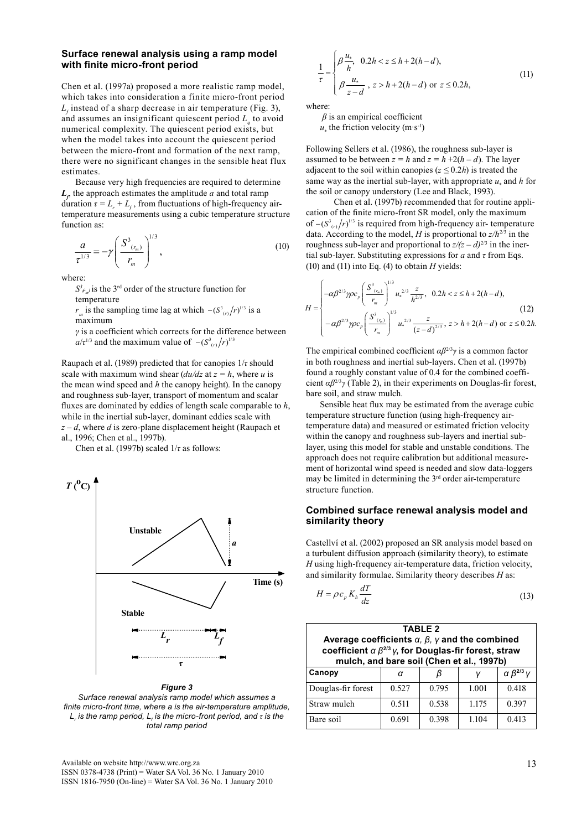### **Surface renewal analysis using a ramp model with finite micro-front period**

Chen et al. (1997a) proposed a more realistic ramp model, which takes into consideration a finite micro-front period  $L_f$  instead of a sharp decrease in air temperature (Fig. 3), and assumes an insignificant quiescent period *Lq* to avoid numerical complexity. The quiescent period exists, but when the model takes into account the quiescent period between the micro-front and formation of the next ramp, there were no significant changes in the sensible heat flux estimates.

Because very high frequencies are required to determine  $L_f$  the approach estimates the amplitude *a* and total ramp duration  $\tau = L_r + L_f$ , from fluctuations of high-frequency airtemperature measurements using a cubic temperature structure function as:

$$
\frac{a}{\tau^{1/3}} = -\gamma \left( \frac{S^3_{(r_m)}}{r_m} \right)^{1/3},\tag{10}
$$

where:

 $S^3$ <sub> $(r_m)$ </sub> is the 3<sup>rd</sup> order of the structure function for temperature

 $r_m$  is the sampling time lag at which  $-(S^3_{(r)}/r)^{1/3}$  is a maximum

*γ* is a coefficient which corrects for the difference between  $a/\tau^{1/3}$  and the maximum value of  $-(S^3_{(r)}/r)^{1/3}$ 

Raupach et al. (1989) predicted that for canopies 1/*τ* should scale with maximum wind shear  $\frac{du}{dz}$  at  $z = h$ , where *u* is the mean wind speed and *h* the canopy height). In the canopy and roughness sub-layer, transport of momentum and scalar fluxes are dominated by eddies of length scale comparable to *h*, while in the inertial sub-layer, dominant eddies scale with  $z - d$ , where *d* is zero-plane displacement height (Raupach et al., 1996; Chen et al., 1997b).

Chen et al. (1997b) scaled 1/*τ* as follows:



#### *Figure 3*

*Surface renewal analysis ramp model which assumes a finite micro-front time, where a is the air-temperature amplitude, L<sub>r</sub>* **is the ramp period, L<sub>r</sub> is the micro-front period, and τ is the** *total ramp period*

$$
\frac{1}{\tau} = \begin{cases} \beta \frac{u_*}{h}, & 0.2h < z \le h + 2(h - d), \\ \beta \frac{u_*}{z - d}, & z > h + 2(h - d) \text{ or } z \le 0.2h, \end{cases} \tag{11}
$$

where:

*β* is an empirical coefficient  $u_*$  the friction velocity (m·s<sup>-1</sup>)

Following Sellers et al. (1986), the roughness sub-layer is assumed to be between  $z = h$  and  $z = h + 2(h - d)$ . The layer adjacent to the soil within canopies ( $z \leq 0.2h$ ) is treated the same way as the inertial sub-layer, with appropriate  $u_*$  and  $h$  for the soil or canopy understory (Lee and Black, 1993).

Chen et al. (1997b) recommended that for routine application of the finite micro-front SR model, only the maximum of  $-(S^3_{(r)}/r)^{1/3}$  is required from high-frequency air- temperature data. According to the model, *H* is proportional to  $z/h^{2/3}$  in the roughness sub-layer and proportional to  $z/(z-d)^{2/3}$  in the inertial sub-layer. Substituting expressions for *a* and *τ* from Eqs. (10) and (11) into Eq. (4) to obtain  $H$  yields:

$$
H = \begin{cases}\n-\alpha \beta^{2/3} \gamma \rho c_p \left(\frac{S^3_{(r_m)}}{r_m}\right)^{1/3} u_*^{2/3} \frac{z}{h^{2/3}}, & 0.2h < z \le h + 2(h - d), \\
-\alpha \beta^{2/3} \gamma \rho c_p \left(\frac{S^3_{(r_m)}}{r_m}\right)^{1/3} u_*^{2/3} \frac{z}{(z - d)^{2/3}}, & z > h + 2(h - d) \text{ or } z \le 0.2h.\n\end{cases}
$$
\n(12)

The empirical combined coefficient  $\alpha \beta^{2/3} \gamma$  is a common factor in both roughness and inertial sub-layers. Chen et al. (1997b) found a roughly constant value of 0.4 for the combined coefficient *αβ*2/3*γ* (Table 2), in their experiments on Douglas-fir forest, bare soil, and straw mulch.

Sensible heat flux may be estimated from the average cubic temperature structure function (using high-frequency airtemperature data) and measured or estimated friction velocity within the canopy and roughness sub-layers and inertial sublayer, using this model for stable and unstable conditions. The approach does not require calibration but additional measurement of horizontal wind speed is needed and slow data-loggers may be limited in determining the 3rd order air-temperature structure function.

# **Combined surface renewal analysis model and similarity theory**

Castellví et al. (2002) proposed an SR analysis model based on a turbulent diffusion approach (similarity theory), to estimate *H* using high-frequency air-temperature data, friction velocity, and similarity formulae. Similarity theory describes *H* as:

$$
H = \rho c_p K_h \frac{dT}{dz} \tag{13}
$$

| <b>TABLE 2</b>                                                                                                                                                                                |       |       |       |                        |  |  |  |  |  |  |
|-----------------------------------------------------------------------------------------------------------------------------------------------------------------------------------------------|-------|-------|-------|------------------------|--|--|--|--|--|--|
| Average coefficients $\alpha$ , $\beta$ , $\gamma$ and the combined<br>coefficient $\alpha \beta^{2/3}$ $\gamma$ , for Douglas-fir forest, straw<br>mulch, and bare soil (Chen et al., 1997b) |       |       |       |                        |  |  |  |  |  |  |
| Canopy                                                                                                                                                                                        | α     |       |       | $\alpha \beta^{2/3}$ V |  |  |  |  |  |  |
| Douglas-fir forest                                                                                                                                                                            | 0.527 | 0.795 | 1.001 | 0.418                  |  |  |  |  |  |  |
| Straw mulch                                                                                                                                                                                   | 0.511 | 0.538 | 1.175 | 0.397                  |  |  |  |  |  |  |
| Bare soil                                                                                                                                                                                     | 0.691 | 0.398 | 1.104 | 0.413                  |  |  |  |  |  |  |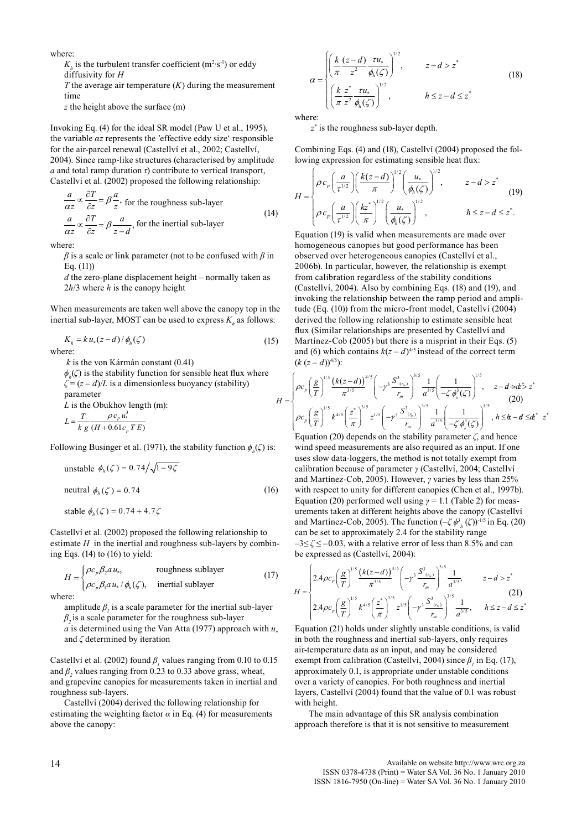where:

 $K_h$  is the turbulent transfer coefficient (m<sup>2</sup>·s<sup>-1</sup>) or eddy diffusivity for *H*

*T* the average air temperature  $(K)$  during the measurement time

*z* the height above the surface (m)

Invoking Eq. (4) for the ideal SR model (Paw U et al., 1995), the variable *αz* represents the 'effective eddy size' responsible for the air-parcel renewal (Castellví et al., 2002; Castellví, 2004). Since ramp-like structures (characterised by amplitude *a* and total ramp duration *τ*) contribute to vertical transport, Castellví et al. (2002) proposed the following relationship:

$$
\frac{a}{\alpha z} \propto \frac{\partial T}{\partial z} = \beta \frac{a}{z},
$$
 for the roughness sub-layer  

$$
\frac{a}{\alpha z} \propto \frac{\partial T}{\partial z} = \beta \frac{a}{z - d},
$$
 for the inertial sub-layer (14)

where:

 $\beta$  is a scale or link parameter (not to be confused with  $\beta$  in Eq. (11))

*d* the zero-plane displacement height – normally taken as 2*h*/3 where *h* is the canopy height

When measurements are taken well above the canopy top in the inertial sub-layer, MOST can be used to express  $K<sub>h</sub>$  as follows:

$$
K_h = k u_*(z - d) / \phi_h(\zeta)
$$
\n<sup>(15)</sup>

where:

*k* is the von Kármán constant (0.41)

 $\phi_h(\zeta)$  is the stability function for sensible heat flux where *ζ* = (*z – d*)/*L* is a dimensionless buoyancy (stability) parameter

*L* is the Obukhov length (m):  $\rho c_p u_*^3$ <br>(*H* + 0.61  $c_p$  *T E*)  $L = \frac{T}{k g} \frac{\rho c_p u_*^3}{(H + 0.61 c_p T E)}$ 

Following Businger et al. (1971), the stability function  $\phi_h(\zeta)$  is:

unstable 
$$
\phi_h(\zeta) = 0.74/\sqrt{1-9\zeta}
$$
  
neutral  $\phi_h(\zeta) = 0.74$  (16)  
stable  $\phi_h(\zeta) = 0.74 + 4.7\zeta$ 

Castellví et al. (2002) proposed the following relationship to estimate  $H$  in the inertial and roughness sub-layers by combining Eqs. (14) to (16) to yield:

$$
H = \begin{cases} \rho c_p \beta_2 a u_*, & \text{roughness sublayer} \\ \rho c_p \beta_1 a u_*/\phi_h(\zeta), & \text{inertial sublayer} \end{cases}
$$
 (17)

where:

amplitude  $\beta$ <sub>*l*</sub> is a scale parameter for the inertial sub-layer  $\beta$ , is a scale parameter for the roughness sub-layer *a* is determined using the Van Atta (1977) approach with  $u^*$ and *ζ* determined by iteration

Castellví et al. (2002) found  $\beta$ <sub>*l*</sub> values ranging from 0.10 to 0.15 and  $\beta_2$  values ranging from 0.23 to 0.33 above grass, wheat, and grapevine canopies for measurements taken in inertial and roughness sub-layers.

Castellví (2004) derived the following relationship for estimating the weighting factor  $\alpha$  in Eq. (4) for measurements above the canopy:

$$
\alpha = \begin{cases} \left(\frac{k}{\pi} \frac{(z-d)}{z^2} \frac{\tau u_*}{\phi_h(\zeta)}\right)^{1/2}, & z-d > z^*\\ \left(\frac{k}{\pi} \frac{z^*}{z^2} \frac{\tau u_*}{\phi_h(\zeta)}\right)^{1/2}, & h \le z - d \le z^* \end{cases}
$$
(18)

where:

*z\** is the roughness sub-layer depth.

Combining Eqs. (4) and (18), Castellví (2004) proposed the following expression for estimating sensible heat flux:

$$
H = \begin{cases} \rho c_p \left(\frac{a}{\tau^{1/2}}\right) \left(\frac{k(z-d)}{\pi}\right)^{1/2} \left(\frac{u_*}{\phi_h(\zeta)}\right)^{1/2}, & z-d > z^*\\ \rho c_p \left(\frac{a}{\tau^{1/2}}\right) \left(\frac{kz^*}{\pi}\right)^{1/2} \left(\frac{u_*}{\phi_h(\zeta)}\right)^{1/2}, & h \le z-d \le z^*. \end{cases}
$$
 (19)

Equation (19) is valid when measurements are made over homogeneous canopies but good performance has been observed over heterogeneous canopies (Castellví et al., 2006b). In particular, however, the relationship is exempt from calibration regardless of the stability conditions (Castellví, 2004). Also by combining Eqs. (18) and (19), and invoking the relationship between the ramp period and amplitude (Eq. (10)) from the micro-front model, Castellví (2004) derived the following relationship to estimate sensible heat flux (Similar relationships are presented by Castellví and Martínez-Cob (2005) but there is a misprint in their Eqs. (5) and (6) which contains  $k(z - d)^{4/5}$  instead of the correct term  $(k (z-d))^{4/5}$ :

$$
H = \begin{cases} \rho c_p \left(\frac{g}{T}\right)^{1/5} \frac{\left(k(z-d)\right)^{4/5}}{\pi^{3/5}} \left(-\gamma^3 \frac{S^3_{(r_m)}}{r_m}\right)^{3/5} \frac{1}{a^{3/5}} \left(\frac{1}{-\zeta \phi_s^3(\zeta)}\right)^{1/5}, & z-d \gg d > z^* \\ \rho c_p \left(\frac{g}{T}\right)^{1/5} k^{4/5} \left(\frac{z^*}{\pi}\right)^{3/5} z^{1/5} \left(-\gamma^3 \frac{S^3_{(r_m)}}{r_m}\right)^{3/5} \frac{1}{a^{3/5}} \left(\frac{1}{-\zeta \phi_s^3(\zeta)}\right)^{1/5}, & h \leq h-d \leq d^* z^* \end{cases}
$$

Equation (20) depends on the stability parameter *ζ*, and hence wind speed measurements are also required as an input. If one uses slow data-loggers, the method is not totally exempt from calibration because of parameter *γ* (Castellví, 2004; Castellví and Martínez-Cob, 2005). However, *γ* varies by less than 25% with respect to unity for different canopies (Chen et al., 1997b). Equation (20) performed well using  $\gamma = 1.1$  (Table 2) for measurements taken at different heights above the canopy (Castellví and Martínez-Cob, 2005). The function  $\left(-\zeta \phi_{h}^{3}(\zeta)\right)^{-1/5}$  in Eq. (20) can be set to approximately 2.4 for the stability range *–*3*≤ ζ* ≤ –0.03, with a relative error of less than 8.5% and can be expressed as (Castellví, 2004):

$$
H = \begin{cases} 2.4 \rho c_p \left(\frac{g}{T}\right)^{1/5} \left(k(z-d)\right)^{4/5} \left(-\gamma^3 \frac{S^3_{(r_m)}}{r_m}\right)^{3/5} \frac{1}{a^{3/5}}, & z - d > z^* \\ 2.4 \rho c_p \left(\frac{g}{T}\right)^{1/5} k^{4/5} \left(\frac{z^*}{\pi}\right)^{3/5} z^{1/5} \left(-\gamma^3 \frac{S^3_{(r_m)}}{r_m}\right)^{3/5} \frac{1}{a^{3/5}}, & h \le z - d \le z^* \end{cases}
$$
(21)

Equation (21) holds under slightly unstable conditions, is valid in both the roughness and inertial sub-layers, only requires air-temperature data as an input, and may be considered exempt from calibration (Castellví, 2004) since  $\beta_l$  in Eq. (17), approximately 0.1, is appropriate under unstable conditions over a variety of canopies. For both roughness and inertial layers, Castellví (2004) found that the value of 0.1 was robust with height.

The main advantage of this SR analysis combination approach therefore is that it is not sensitive to measurement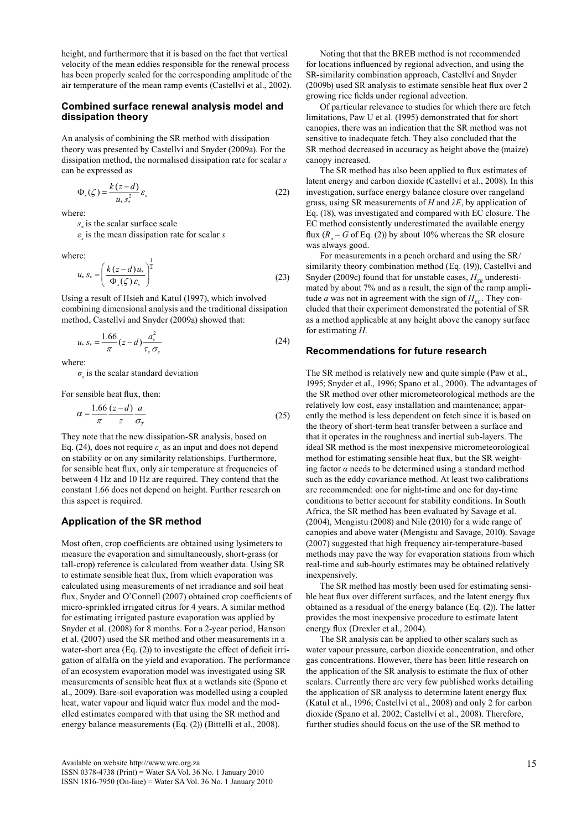height, and furthermore that it is based on the fact that vertical velocity of the mean eddies responsible for the renewal process has been properly scaled for the corresponding amplitude of the air temperature of the mean ramp events (Castellví et al., 2002).

## **Combined surface renewal analysis model and dissipation theory**

An analysis of combining the SR method with dissipation theory was presented by Castellví and Snyder (2009a). For the dissipation method, the normalised dissipation rate for scalar *s* can be expressed as

$$
\Phi_s(\zeta) = \frac{k(z-d)}{u_* s_*^2} \varepsilon_s \tag{22}
$$

where:

*s\** is the scalar surface scale

*εs* is the mean dissipation rate for scalar *s*

where:

$$
u_* s_* = \left(\frac{k(z-d)u_*}{\Phi_s(\zeta)\varepsilon_s}\right)^{\frac{1}{2}}
$$
(23)

Using a result of Hsieh and Katul (1997), which involved combining dimensional analysis and the traditional dissipation method, Castellví and Snyder (2009a) showed that:

$$
u_* s_* = \frac{1.66}{\pi} (z - d) \frac{a_s^2}{\tau_s \sigma_s} \tag{24}
$$

where:

 $\sigma_s$  is the scalar standard deviation

For sensible heat flux, then:

$$
\alpha = \frac{1.66 \left(z - d\right)}{\pi} \frac{a}{z - \sigma_{\scriptscriptstyle{T}}} \tag{25}
$$

They note that the new dissipation-SR analysis, based on Eq. (24), does not require  $\varepsilon$ <sub>s</sub> as an input and does not depend on stability or on any similarity relationships. Furthermore, for sensible heat flux, only air temperature at frequencies of between 4 Hz and 10 Hz are required. They contend that the constant 1.66 does not depend on height. Further research on this aspect is required.

## **Application of the SR method**

Most often, crop coefficients are obtained using lysimeters to measure the evaporation and simultaneously, short-grass (or tall-crop) reference is calculated from weather data. Using SR to estimate sensible heat flux, from which evaporation was calculated using measurements of net irradiance and soil heat flux, Snyder and O'Connell (2007) obtained crop coefficients of micro-sprinkled irrigated citrus for 4 years. A similar method for estimating irrigated pasture evaporation was applied by Snyder et al. (2008) for 8 months. For a 2-year period, Hanson et al. (2007) used the SR method and other measurements in a water-short area (Eq. (2)) to investigate the effect of deficit irrigation of alfalfa on the yield and evaporation. The performance of an ecosystem evaporation model was investigated using SR measurements of sensible heat flux at a wetlands site (Spano et al., 2009). Bare-soil evaporation was modelled using a coupled heat, water vapour and liquid water flux model and the modelled estimates compared with that using the SR method and energy balance measurements (Eq. (2)) (Bittelli et al., 2008).

Noting that that the BREB method is not recommended for locations influenced by regional advection, and using the SR-similarity combination approach, Castellví and Snyder (2009b) used SR analysis to estimate sensible heat flux over 2 growing rice fields under regional advection.

Of particular relevance to studies for which there are fetch limitations, Paw U et al. (1995) demonstrated that for short canopies, there was an indication that the SR method was not sensitive to inadequate fetch. They also concluded that the SR method decreased in accuracy as height above the (maize) canopy increased.

The SR method has also been applied to flux estimates of latent energy and carbon dioxide (Castellví et al., 2008). In this investigation, surface energy balance closure over rangeland grass, using SR measurements of *H* and *λE*, by application of Eq. (18), was investigated and compared with EC closure. The EC method consistently underestimated the available energy flux  $(R_n - G$  of Eq. (2)) by about 10% whereas the SR closure was always good.

For measurements in a peach orchard and using the SR/ similarity theory combination method (Eq. (19)), Castellví and Snyder (2009c) found that for unstable cases,  $H_{SP}$  underestimated by about 7% and as a result, the sign of the ramp amplitude *a* was not in agreement with the sign of  $H_{EC}$ . They concluded that their experiment demonstrated the potential of SR as a method applicable at any height above the canopy surface for estimating *H*.

## **Recommendations for future research**

The SR method is relatively new and quite simple (Paw et al., 1995; Snyder et al., 1996; Spano et al., 2000). The advantages of the SR method over other micrometeorological methods are the relatively low cost, easy installation and maintenance; apparently the method is less dependent on fetch since it is based on the theory of short-term heat transfer between a surface and that it operates in the roughness and inertial sub-layers. The ideal SR method is the most inexpensive micrometeorological method for estimating sensible heat flux, but the SR weighting factor *α* needs to be determined using a standard method such as the eddy covariance method. At least two calibrations are recommended: one for night-time and one for day-time conditions to better account for stability conditions. In South Africa, the SR method has been evaluated by Savage et al. (2004), Mengistu (2008) and Nile (2010) for a wide range of canopies and above water (Mengistu and Savage, 2010). Savage (2007) suggested that high frequency air-temperature-based methods may pave the way for evaporation stations from which real-time and sub-hourly estimates may be obtained relatively inexpensively.

The SR method has mostly been used for estimating sensible heat flux over different surfaces, and the latent energy flux obtained as a residual of the energy balance (Eq. (2)). The latter provides the most inexpensive procedure to estimate latent energy flux (Drexler et al., 2004).

The SR analysis can be applied to other scalars such as water vapour pressure, carbon dioxide concentration, and other gas concentrations. However, there has been little research on the application of the SR analysis to estimate the flux of other scalars. Currently there are very few published works detailing the application of SR analysis to determine latent energy flux (Katul et al., 1996; Castellví et al., 2008) and only 2 for carbon dioxide (Spano et al. 2002; Castellví et al., 2008). Therefore, further studies should focus on the use of the SR method to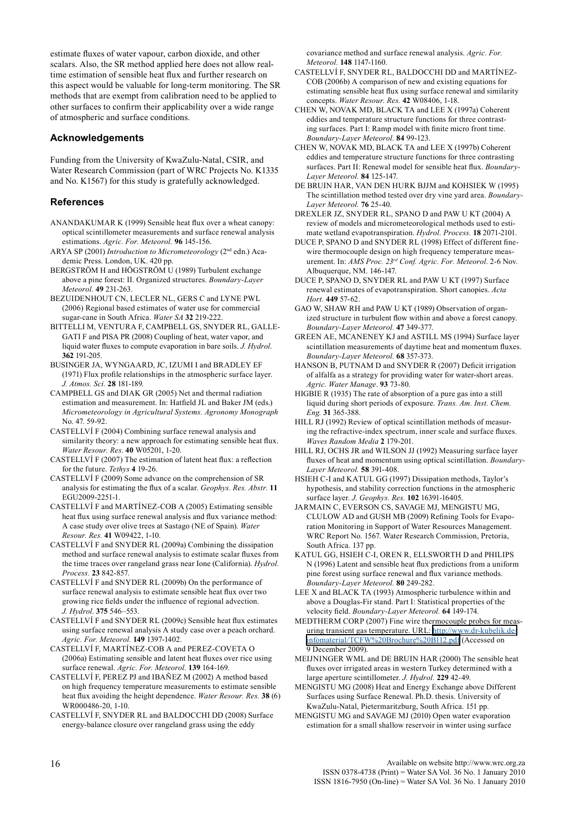estimate fluxes of water vapour, carbon dioxide, and other scalars. Also, the SR method applied here does not allow realtime estimation of sensible heat flux and further research on this aspect would be valuable for long-term monitoring. The SR methods that are exempt from calibration need to be applied to other surfaces to confirm their applicability over a wide range of atmospheric and surface conditions.

# **Acknowledgements**

Funding from the University of KwaZulu-Natal, CSIR, and Water Research Commission (part of WRC Projects No. K1335 and No. K1567) for this study is gratefully acknowledged.

# **References**

- ANANDAKUMAR K (1999) Sensible heat flux over a wheat canopy: optical scintillometer measurements and surface renewal analysis estimations. *Agric. For. Meteorol.* **96** 145-156.
- ARYA SP (2001) *Introduction to Micrometeorology* (2nd edn.) Academic Press. London, UK. 420 pp.
- BERGSTRÖM H and HÖGSTRÖM U (1989) Turbulent exchange above a pine forest: II. Organized structures. *Boundary-Layer Meteorol.* **49** 231-263.
- BEZUIDENHOUT CN, LECLER NL, GERS C and LYNE PWL (2006) Regional based estimates of water use for commercial sugar-cane in South Africa. *Water SA* **32** 219-222.
- BITTELLI M, VENTURA F, CAMPBELL GS, SNYDER RL, GALLE-GATI F and PISA PR (2008) Coupling of heat, water vapor, and liquid water fluxes to compute evaporation in bare soils. *J. Hydrol*. **362** 191-205.
- BUSINGER JA, WYNGAARD, JC, IZUMI I and BRADLEY EF (1971) Flux profile relationships in the atmospheric surface layer. *J. Atmos. Sci.* **28** 181-189.
- CAMPBELL GS and DIAK GR (2005) Net and thermal radiation estimation and measurement. In: Hatfield JL and Baker JM (eds.) *Micrometeorology in Agricultural Systems. Agronomy Monograph* No. 47. 59-92.
- CASTELLVÍ F (2004) Combining surface renewal analysis and similarity theory: a new approach for estimating sensible heat flux. *Water Resour. Res*. **40** W05201, 1-20.
- CASTELLVÍ F (2007) The estimation of latent heat flux: a reflection for the future. *Tethys* **4** 19-26.
- CASTELLVÍ F (2009) Some advance on the comprehension of SR analysis for estimating the flux of a scalar. *Geophys. Res. Abstr.* **11** EGU2009-2251-1.
- CASTELLVÍ F and MARTÍNEZ-COB A (2005) Estimating sensible heat flux using surface renewal analysis and flux variance method: A case study over olive trees at Sastago (NE of Spain). *Water Resour. Res.* **41** W09422, 1-10.
- CASTELLVÍ F and SNYDER RL (2009a) Combining the dissipation method and surface renewal analysis to estimate scalar fluxes from the time traces over rangeland grass near Ione (California). *Hydrol. Process.* **23** 842-857.
- CASTELLVÍ F and SNYDER RL (2009b) On the performance of surface renewal analysis to estimate sensible heat flux over two growing rice fields under the influence of regional advection. *J. Hydrol*. **375** 546–553.
- CASTELLVÍ F and SNYDER RL (2009c) Sensible heat flux estimates using surface renewal analysis A study case over a peach orchard. *Agric. For. Meteorol.* **149** 1397-1402.
- CASTELLVÍ F, MARTÍNEZ-COB A and PEREZ-COVETA O (2006a) Estimating sensible and latent heat fluxes over rice using surface renewal. *Agric. For. Meteorol.* **139** 164-169.
- CASTELLVÍ F, PEREZ PJ and IBAÑEZ M (2002) A method based on high frequency temperature measurements to estimate sensible heat flux avoiding the height dependence. *Water Resour. Res.* **38** (6) WR000486-20, 1-10.
- CASTELLVÍ F, SNYDER RL and BALDOCCHI DD (2008) Surface energy-balance closure over rangeland grass using the eddy

covariance method and surface renewal analysis. *Agric. For. Meteorol.* **148** 1147-1160.

- CASTELLVÍ F, SNYDER RL, BALDOCCHI DD and MARTÍNEZ-COB (2006b) A comparison of new and existing equations for estimating sensible heat flux using surface renewal and similarity concepts. *Water Resour. Res.* **42** W08406, 1-18.
- CHEN W, NOVAK MD, BLACK TA and LEE X (1997a) Coherent eddies and temperature structure functions for three contrasting surfaces. Part I: Ramp model with finite micro front time. *Boundary-Layer Meteorol.* **84** 99-123.
- CHEN W, NOVAK MD, BLACK TA and LEE X (1997b) Coherent eddies and temperature structure functions for three contrasting surfaces. Part II: Renewal model for sensible heat flux. *Boundary-Layer Meteorol.* **84** 125-147.
- DE BRUIN HAR, VAN DEN HURK BJJM and KOHSIEK W (1995) The scintillation method tested over dry vine yard area. *Boundary-Layer Meteorol.* **76** 25-40.
- DREXLER JZ, SNYDER RL, SPANO D and PAW U KT (2004) A review of models and micrometeorological methods used to estimate wetland evapotranspiration. *Hydrol. Process.* **18** 2071-2101.
- DUCE P, SPANO D and SNYDER RL (1998) Effect of different finewire thermocouple design on high frequency temperature measurement. In: *AMS Proc. 23rd Conf. Agric. For. Meteorol*. 2-6 Nov. Albuquerque, NM. 146-147.
- DUCE P, SPANO D, SNYDER RL and PAW U KT (1997) Surface renewal estimates of evapotranspiration. Short canopies. *Acta Hort.* **449** 57-62.
- GAO W, SHAW RH and PAW U KT (1989) Observation of organized structure in turbulent flow within and above a forest canopy. *Boundary-Layer Meteorol.* **47** 349-377.
- GREEN AE, MCANENEY KJ and ASTILL MS (1994) Surface layer scintillation measurements of daytime heat and momentum fluxes. *Boundary-Layer Meteorol.* **68** 357-373.
- HANSON B, PUTNAM D and SNYDER R (2007) Deficit irrigation of alfalfa as a strategy for providing water for water-short areas. *Agric. Water Manage*. **93** 73-80.
- HIGBIE R (1935) The rate of absorption of a pure gas into a still liquid during short periods of exposure. *Trans. Am. Inst. Chem. Eng.* **31** 365-388.
- HILL RJ (1992) Review of optical scintillation methods of measuring the refractive-index spectrum, inner scale and surface fluxes. *Waves Random Media* **2** 179-201.
- HILL RJ, OCHS JR and WILSON JJ (1992) Measuring surface layer fluxes of heat and momentum using optical scintillation. *Boundary-Layer Meteorol.* **58** 391-408.
- HSIEH C-I and KATUL GG (1997) Dissipation methods, Taylor's hypothesis, and stability correction functions in the atmospheric surface layer. *J. Geophys. Res.* **102** 16391-16405.
- JARMAIN C, EVERSON CS, SAVAGE MJ, MENGISTU MG, CLULOW AD and GUSH MB (2009) Refining Tools for Evaporation Monitoring in Support of Water Resources Management. WRC Report No. 1567. Water Research Commission, Pretoria, South Africa. 137 pp.
- KATUL GG, HSIEH C-I, OREN R, ELLSWORTH D and PHILIPS N (1996) Latent and sensible heat flux predictions from a uniform pine forest using surface renewal and flux variance methods. *Boundary-Layer Meteorol.* **80** 249-282.
- LEE X and BLACK TA (1993) Atmospheric turbulence within and above a Douglas-Fir stand. Part I: Statistical properties of the velocity field. *Boundary-Layer Meteorol.* **64** 149-174.
- MEDTHERM CORP (2007) Fine wire thermocouple probes for measuring transient gas temperature. URL: [http://www.dr-kubelik.de/](http://www.dr-kubelik.de/infomaterial/TCFW Brochure B112.pdf) [infomaterial/TCFW%20Brochure%20B112.pdf](http://www.dr-kubelik.de/infomaterial/TCFW Brochure B112.pdf) (Accessed on 9 December 2009).
- MEIJNINGER WML and DE BRUIN HAR (2000) The sensible heat fluxes over irrigated areas in western Turkey determined with a large aperture scintillometer. *J. Hydrol.* **229** 42-49.
- MENGISTU MG (2008) Heat and Energy Exchange above Different Surfaces using Surface Renewal. Ph.D. thesis. University of KwaZulu-Natal, Pietermaritzburg, South Africa. 151 pp.
- MENGISTU MG and SAVAGE MJ (2010) Open water evaporation estimation for a small shallow reservoir in winter using surface